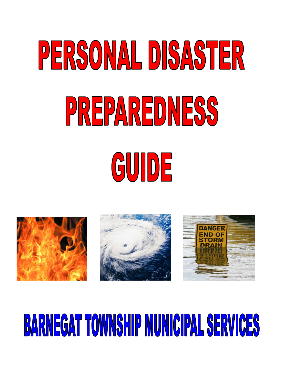# PERSONAL DISASTER PREPAREDNESS GUIDE







# **BARNEGAT TOWNSHIP MUNICIPAL SERVICES**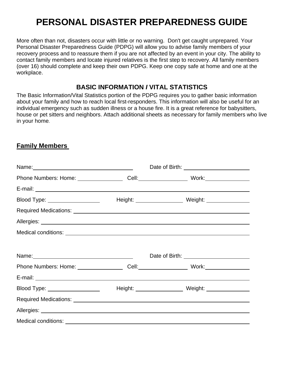# **PERSONAL DISASTER PREPAREDNESS GUIDE**

More often than not, disasters occur with little or no warning. Don't get caught unprepared. Your Personal Disaster Preparedness Guide (PDPG) will allow you to advise family members of your recovery process and to reassure them if you are not affected by an event in your city. The ability to contact family members and locate injured relatives is the first step to recovery. All family members (over 16) should complete and keep their own PDPG. Keep one copy safe at home and one at the workplace.

#### **BASIC INFORMATION** *I* **VITAL STATISTICS**

The Basic Information/Vital Statistics portion of the PDPG requires you to gather basic information about your family and how to reach local first-responders. This information will also be useful for an individual emergency such as sudden illness or a house fire. It is a great reference for babysitters, house or pet sitters and neighbors. Attach additional sheets as necessary for family members who live in your home.

#### **Family Members**

| Name: Name:                                                                                                                                                                                                                          | Date of Birth: __________________________ |  |
|--------------------------------------------------------------------------------------------------------------------------------------------------------------------------------------------------------------------------------------|-------------------------------------------|--|
| Phone Numbers: Home: _____________________Cell: __________________________Work: ____________________                                                                                                                                 |                                           |  |
|                                                                                                                                                                                                                                      |                                           |  |
| Blood Type: ___________________                                                                                                                                                                                                      |                                           |  |
| Required Medications: <u>New York: New York: New York: New York: New York: New York: New York: New York: New York: New York: New York: New York: New York: New York: New York: New York: New York: New York: New York: New York:</u> |                                           |  |
|                                                                                                                                                                                                                                      |                                           |  |
|                                                                                                                                                                                                                                      |                                           |  |
|                                                                                                                                                                                                                                      |                                           |  |
| Name: <u>2000 - 2000 - 2000 - 2000 - 2000 - 2000 - 2000 - 2000 - 2000 - 2000 - 2000 - 2000 - 2000 - 2000 - 2000 - 2000 - 2000 - 2000 - 2000 - 2000 - 2000 - 2000 - 2000 - 2000 - 2000 - 2000 - 2000 - 2000 - 2000 - 2000 - 2000 </u> |                                           |  |
| Phone Numbers: Home: _______________________Cell: ______________________________ Work: ______________________                                                                                                                        |                                           |  |
|                                                                                                                                                                                                                                      |                                           |  |
| Blood Type: ___________________                                                                                                                                                                                                      |                                           |  |
| Required Medications: <u>New York: New York: New York: New York: New York: New York: New York: New York: New York: New York: New York: New York: New York: New York: New York: New York: New York: New York: New York: New York:</u> |                                           |  |
|                                                                                                                                                                                                                                      |                                           |  |
|                                                                                                                                                                                                                                      |                                           |  |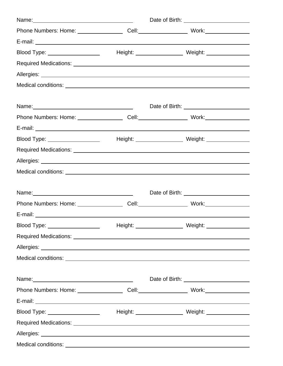| Phone Numbers: Home: ______________________Cell: __________________________Work: ___________________                                                                                                                                 |                                                      |  |
|--------------------------------------------------------------------------------------------------------------------------------------------------------------------------------------------------------------------------------------|------------------------------------------------------|--|
|                                                                                                                                                                                                                                      |                                                      |  |
| Blood Type: ___________________                                                                                                                                                                                                      |                                                      |  |
| Required Medications: <u>contract and contract and contract and contract and contract and contract and contract and contract and contract and contract and contract and contract and contract and contract and contract and cont</u> |                                                      |  |
|                                                                                                                                                                                                                                      |                                                      |  |
|                                                                                                                                                                                                                                      |                                                      |  |
|                                                                                                                                                                                                                                      |                                                      |  |
|                                                                                                                                                                                                                                      |                                                      |  |
|                                                                                                                                                                                                                                      |                                                      |  |
|                                                                                                                                                                                                                                      |                                                      |  |
| Blood Type: __________________                                                                                                                                                                                                       |                                                      |  |
|                                                                                                                                                                                                                                      |                                                      |  |
|                                                                                                                                                                                                                                      |                                                      |  |
|                                                                                                                                                                                                                                      |                                                      |  |
|                                                                                                                                                                                                                                      |                                                      |  |
| Name: 2008 2010 2021 2022 2023 2024 2022 2022 2023 2024 2022 2023 2024 2022 2023 2024 2022 2023 2024 2022 2023                                                                                                                       | Date of Birth: <u>contract and the set of Birth:</u> |  |
| Phone Numbers: Home: _______________________Cell: ______________________________ Work: _______________________                                                                                                                       |                                                      |  |
|                                                                                                                                                                                                                                      |                                                      |  |
|                                                                                                                                                                                                                                      |                                                      |  |
|                                                                                                                                                                                                                                      |                                                      |  |
|                                                                                                                                                                                                                                      |                                                      |  |
|                                                                                                                                                                                                                                      |                                                      |  |
|                                                                                                                                                                                                                                      | Date of Birth: <u>______________________</u>         |  |
| Phone Numbers: Home: ____________________Cell: __________________________________                                                                                                                                                    |                                                      |  |
|                                                                                                                                                                                                                                      |                                                      |  |
| Blood Type: ____________________                                                                                                                                                                                                     |                                                      |  |
| Required Medications: <u>contract and contract and contract and contract and contract and contract and contract of</u>                                                                                                               |                                                      |  |
|                                                                                                                                                                                                                                      |                                                      |  |
|                                                                                                                                                                                                                                      |                                                      |  |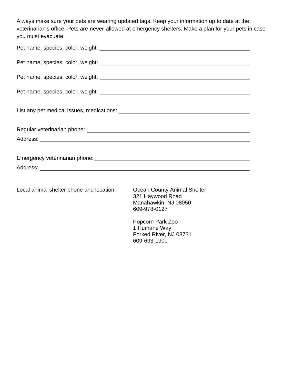Always make sure your pets are wearing updated tags. Keep your information up to date at the veterinarian's office. Pets are **never** allowed at emergency shelters. Make a plan for your pets in case you must evacuate.

| Emergency veterinarian phone:<br><u> Emergency</u> veterinarian phone: |
|------------------------------------------------------------------------|
|                                                                        |
|                                                                        |

Local animal shelter phone and location: Ocean County Animal Shelter

 321 Haywood Road Manahawkin, NJ 08050 609-978-0127

 Popcorn Park Zoo 1 Humane Way Forked River, NJ 08731 609-693-1900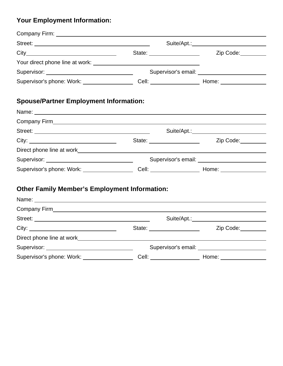# **Your Employment Information:**

|                                                                     | Suite/Apt.: New York 1997                                                                            |  |
|---------------------------------------------------------------------|------------------------------------------------------------------------------------------------------|--|
|                                                                     | Zip Code:                                                                                            |  |
| Your direct phone line at work: New Your direct phone line at work: |                                                                                                      |  |
| Supervisor: __________________________________                      | Supervisor's email: Supervisor's email:                                                              |  |
|                                                                     | Supervisor's phone: Work: ______________________Cell: __________________________ Home: _____________ |  |
| <b>Spouse/Partner Employment Information:</b>                       |                                                                                                      |  |
|                                                                     |                                                                                                      |  |
|                                                                     |                                                                                                      |  |
|                                                                     |                                                                                                      |  |
|                                                                     | Zip Code: 2000                                                                                       |  |
|                                                                     |                                                                                                      |  |
|                                                                     |                                                                                                      |  |
|                                                                     | Supervisor's phone: Work: _______________________Cell: _________________________Home: ______________ |  |
| <b>Other Family Member's Employment Information:</b>                |                                                                                                      |  |
|                                                                     |                                                                                                      |  |
|                                                                     |                                                                                                      |  |
|                                                                     |                                                                                                      |  |
|                                                                     | Zip Code:                                                                                            |  |
|                                                                     |                                                                                                      |  |
| Supervisor: __________________________________                      |                                                                                                      |  |
| Supervisor's phone: Work: ___________________                       |                                                                                                      |  |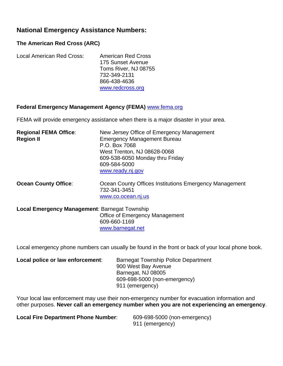#### **National Emergency Assistance Numbers:**

#### **The American Red Cross (ARC)**

| Local American Red Cross: | <b>American Red Cross</b> |
|---------------------------|---------------------------|
|                           | 175 Sunset Avenue         |
|                           | Toms River, NJ 08755      |
|                           | 732-349-2131              |
|                           | 866-438-4636              |
|                           | www.redcross.org          |

#### **Federal Emergency Management Agency (FEMA)** [www.fema.org](http://www.fema.org/)

FEMA will provide emergency assistance when there is a major disaster in your area.

| <b>Regional FEMA Office:</b> | New Jersey Office of Emergency Management       |
|------------------------------|-------------------------------------------------|
| <b>Region II</b>             | <b>Emergency Management Bureau</b>              |
|                              | P.O. Box 7068                                   |
|                              | West Trenton, NJ 08628-0068                     |
|                              | 609-538-6050 Monday thru Friday                 |
|                              | 609-584-5000                                    |
|                              | www.ready.nj.gov                                |
|                              |                                                 |
| <b>Occas Caushi Office:</b>  | Ossan County Offices Institutions Emergency Man |

**Ocean County Office:** Ocean County Offices Institutions Emergency Management 732-341-3451 [www.co.ocean.nj.us](http://www.co.ocean.nj.us/)

**Local Emergency Management**: Barnegat Township Office of Emergency Management 609-660-1169 [www.barnegat.net](http://www.barnegat.net/)

Local emergency phone numbers can usually be found in the front or back of your local phone book.

| Local police or law enforcement: | <b>Barnegat Township Police Department</b> |
|----------------------------------|--------------------------------------------|
|                                  | 900 West Bay Avenue                        |
|                                  | Barnegat, NJ 08005                         |
|                                  | 609-698-5000 (non-emergency)               |
|                                  | 911 (emergency)                            |

Your local law enforcement may use their non-emergency number for evacuation information and other purposes. **Never call an emergency number when you are not experiencing an emergency**.

**Local Fire Department Phone Number:** 609-698-5000 (non-emergency)

911 (emergency)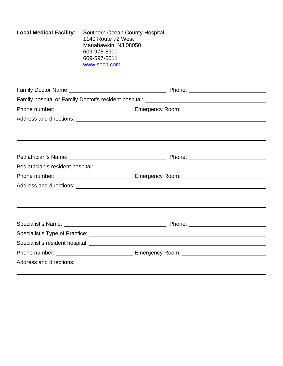| <b>Local Medical Facility:</b> | <b>Southern Ocean County Hospital</b><br>1140 Route 72 West<br>Manahawkin, NJ 08050<br>609-978-8900<br>609-597-6011<br>www.soch.com |                                                                                                                                                                                                                                |                                            |
|--------------------------------|-------------------------------------------------------------------------------------------------------------------------------------|--------------------------------------------------------------------------------------------------------------------------------------------------------------------------------------------------------------------------------|--------------------------------------------|
|                                |                                                                                                                                     |                                                                                                                                                                                                                                |                                            |
|                                |                                                                                                                                     | Family hospital or Family Doctor's resident hospital: ___________________________                                                                                                                                              |                                            |
|                                |                                                                                                                                     |                                                                                                                                                                                                                                |                                            |
|                                |                                                                                                                                     |                                                                                                                                                                                                                                |                                            |
|                                |                                                                                                                                     |                                                                                                                                                                                                                                |                                            |
|                                |                                                                                                                                     |                                                                                                                                                                                                                                |                                            |
|                                |                                                                                                                                     |                                                                                                                                                                                                                                |                                            |
|                                |                                                                                                                                     |                                                                                                                                                                                                                                |                                            |
|                                |                                                                                                                                     |                                                                                                                                                                                                                                |                                            |
|                                |                                                                                                                                     |                                                                                                                                                                                                                                |                                            |
|                                |                                                                                                                                     |                                                                                                                                                                                                                                | Phone: <u>____________________________</u> |
|                                |                                                                                                                                     |                                                                                                                                                                                                                                |                                            |
|                                |                                                                                                                                     | Specialist's resident hospital: Note of the second service of the service of the service of the service of the service of the service of the service of the service of the service of the service of the service of the servic |                                            |
|                                |                                                                                                                                     |                                                                                                                                                                                                                                |                                            |
|                                |                                                                                                                                     |                                                                                                                                                                                                                                |                                            |
|                                |                                                                                                                                     |                                                                                                                                                                                                                                |                                            |
|                                |                                                                                                                                     |                                                                                                                                                                                                                                |                                            |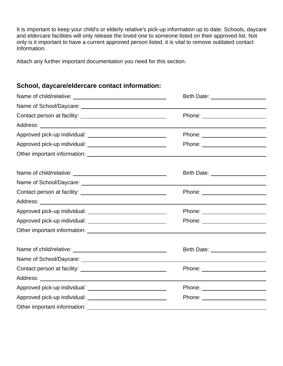It is important to keep your child's or elderly relative's pick-up information up to date. Schools, daycare and eldercare facilities will only release the loved one to someone listed on their approved list. Not only is it important to have a current approved person listed, it is vital to remove outdated contact Information.

Attach any further important documentation you need for this section.

#### **School, daycare/eldercare contact information:**

| Birth Date: _____________________       |
|-----------------------------------------|
|                                         |
| Phone: ___ ____________________         |
|                                         |
| Phone: ________________________         |
| Phone: _________________________        |
|                                         |
| Birth Date: <u>____________________</u> |
|                                         |
| Phone: ________________________         |
|                                         |
|                                         |
| Phone: ________________________         |
|                                         |
| Birth Date: <u>____________________</u> |
|                                         |
| Phone: _________________________        |
|                                         |
|                                         |
| Phone: ________________________         |
|                                         |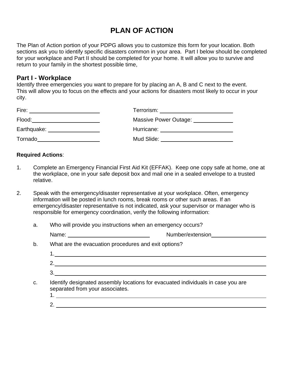# **PLAN OF ACTION**

The Plan of Action portion of your PDPG allows you to customize this form for your location. Both sections ask you to identify specific disasters common in your area. Part I below should be completed for your workplace and Part II should be completed for your home. It will allow you to survive and return to your family in the shortest possible time,

#### **Part I - Workplace**

Identify three emergencies you want to prepare for by placing an A, B and C next to the event. This will allow you to focus on the effects and your actions for disasters most likely to occur in your city.

| Terrorism: The control of the control of the control of the control of the control of the control of the control of the control of the control of the control of the control of the control of the control of the control of t |
|--------------------------------------------------------------------------------------------------------------------------------------------------------------------------------------------------------------------------------|
| Massive Power Outage:                                                                                                                                                                                                          |
| Hurricane:                                                                                                                                                                                                                     |
| Mud Slide:                                                                                                                                                                                                                     |
|                                                                                                                                                                                                                                |

#### **Required Actions**:

- 1. Complete an Emergency Financial First Aid Kit (EFFAK). Keep one copy safe at home, one at the workplace, one in your safe deposit box and mail one in a sealed envelope to a trusted relative.
- 2. Speak with the emergency/disaster representative at your workplace. Often, emergency information will be posted in lunch rooms, break rooms or other such areas. If an emergency/disaster representative is not indicated, ask your supervisor or manager who is responsible for emergency coordination, verify the following information:
	- a. Who will provide you instructions when an emergency occurs?

| $     -$<br>$\cdot$<br>sıor<br>N<br>w<br>. <del>. .</del><br>. |
|----------------------------------------------------------------|
|----------------------------------------------------------------|

b. What are the evacuation procedures and exit options?

- c. Identify designated assembly locations for evacuated individuals in case you are separated from your associates.
	- 1.
	- 2.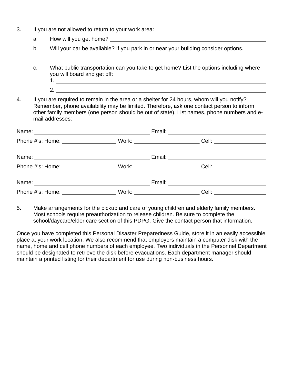- 3. If you are not allowed to return to your work area:
	- a. How will you get home?
	- b. Will your car be available? If you park in or near your building consider options.
	- c. What public transportation can you take to get home? List the options including where you will board and get off: 1.
		- 2.

4. If you are required to remain in the area or a shelter for 24 hours, whom will you notify? Remember, phone availability may be limited. Therefore, ask one contact person to inform other family members (one person should be out of state). List names, phone numbers and e mail addresses:

| Phone #'s: Home: 2000 |                                     |                       |  |
|-----------------------|-------------------------------------|-----------------------|--|
|                       |                                     |                       |  |
|                       |                                     |                       |  |
|                       |                                     |                       |  |
| Phone #'s: Home:      | Work: _____________________________ | Cell: _______________ |  |

5. Make arrangements for the pickup and care of young children and elderly family members. Most schools require preauthorization to release children. Be sure to complete the school/daycare/elder care section of this PDPG. Give the contact person that information.

Once you have completed this Personal Disaster Preparedness Guide, store it in an easily accessible place at your work location. We also recommend that employers maintain a computer disk with the name, home and cell phone numbers of each employee. Two individuals in the Personnel Department should be designated to retrieve the disk before evacuations. Each department manager should maintain a printed listing for their department for use during non-business hours.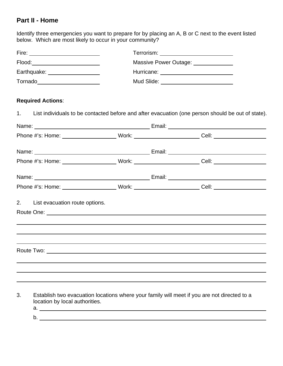#### **Part II - Home**

Identify three emergencies you want to prepare for by placing an A, B or C next to the event listed below. Which are most likely to occur in your community?

| Fire: <u>________________________</u>                                                                          |  |                                             |                                                                                                   |  |  |  |
|----------------------------------------------------------------------------------------------------------------|--|---------------------------------------------|---------------------------------------------------------------------------------------------------|--|--|--|
| Flood:________________________                                                                                 |  | Massive Power Outage: Massive Power Outage: |                                                                                                   |  |  |  |
| Earthquake: __________________                                                                                 |  | Mud Slide: _____________________________    |                                                                                                   |  |  |  |
|                                                                                                                |  |                                             |                                                                                                   |  |  |  |
| <b>Required Actions:</b>                                                                                       |  |                                             |                                                                                                   |  |  |  |
| 1.                                                                                                             |  |                                             | List individuals to be contacted before and after evacuation (one person should be out of state). |  |  |  |
|                                                                                                                |  |                                             |                                                                                                   |  |  |  |
| Phone #'s: Home: _________________________Work: __________________________Cell: _________________________      |  |                                             |                                                                                                   |  |  |  |
|                                                                                                                |  |                                             |                                                                                                   |  |  |  |
| Phone #'s: Home: __________________________Work: __________________________Cell: _____________________________ |  |                                             |                                                                                                   |  |  |  |
|                                                                                                                |  |                                             |                                                                                                   |  |  |  |
| Phone #'s: Home: _________________________Work: __________________________Cell: _________________________      |  |                                             |                                                                                                   |  |  |  |
| 2.<br>List evacuation route options.                                                                           |  |                                             |                                                                                                   |  |  |  |
|                                                                                                                |  |                                             |                                                                                                   |  |  |  |
|                                                                                                                |  |                                             |                                                                                                   |  |  |  |
| ,我们也不会有什么。""我们的人,我们也不会有什么?""我们的人,我们也不会有什么?""我们的人,我们也不会有什么?""我们的人,我们也不会有什么?""我们的人                               |  |                                             |                                                                                                   |  |  |  |
|                                                                                                                |  |                                             |                                                                                                   |  |  |  |
|                                                                                                                |  |                                             |                                                                                                   |  |  |  |
|                                                                                                                |  |                                             |                                                                                                   |  |  |  |

- 3. Establish two evacuation locations where your family will meet if you are not directed to a location by local authorities.
	- a. <u>Andrea and a state of the state of the state of the state of the state of the state of the state of the state of</u> b.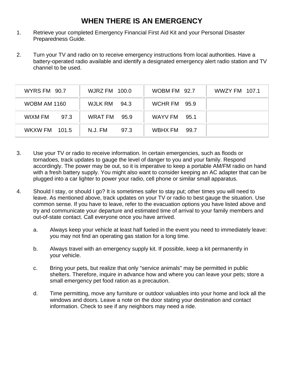## **WHEN THERE IS AN EMERGENCY**

- 1. Retrieve your completed Emergency Financial First Aid Kit and your Personal Disaster Preparedness Guide.
- 2. Turn your TV and radio on to receive emergency instructions from local authorities. Have a battery-operated radio available and identify a designated emergency alert radio station and TV channel to be used.

| <b>WYRS FM 90.7</b>  | <b>WJRZ FM 100.0</b> | WOBM FM 92.7    | WWZY FM 107.1 |
|----------------------|----------------------|-----------------|---------------|
| <b>WOBM AM 1160</b>  | WJLK RM 94.3         | WCHR FM 95.9    |               |
| WIXM FM<br>97.3      | WRAT FM<br>95.9      | WAYV FM<br>95.1 |               |
| <b>WKXW FM 101.5</b> | N.J. FM<br>97.3      | WBHX FM<br>99.7 |               |

- 3. Use your TV or radio to receive information. In certain emergencies, such as floods or tornadoes, track updates to gauge the level of danger to you and your family. Respond accordingly. The power may be out, so it is imperative to keep a portable AM/FM radio on hand with a fresh battery supply. You might also want to consider keeping an AC adapter that can be plugged into a car lighter to power your radio, cell phone or similar small apparatus.
- 4. Should I stay, or should I go? It is sometimes safer to stay put; other times you will need to leave. As mentioned above, track updates on your TV or radio to best gauge the situation. Use common sense. If you have to leave, refer to the evacuation options you have listed above and try and communicate your departure and estimated time of arrival to your family members and out-of-state contact. Call everyone once you have arrived.
	- a. Always keep your vehicle at least half fueled in the event you need to immediately leave: you may not find an operating gas station for a long time.
	- b. Always travel with an emergency supply kit. If possible, keep a kit permanently in your vehicle.
	- c. Bring your pets, but realize that only "service animals" may be permitted in public shelters. Therefore, inquire in advance how and where you can leave your pets; store a small emergency pet food ration as a precaution.
	- d. Time permitting, move any furniture or outdoor valuables into your home and lock all the windows and doors. Leave a note on the door stating your destination and contact information. Check to see if any neighbors may need a ride.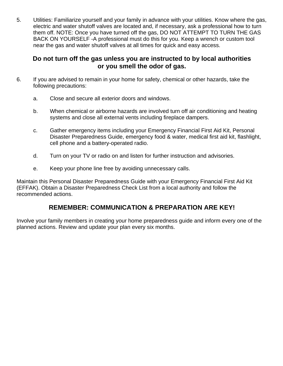5. Utilities: Familiarize yourself and your family in advance with your utilities. Know where the gas, electric and water shutoff valves are located and, if necessary, ask a professional how to turn them off. NOTE: Once you have turned off the gas, DO NOT ATTEMPT TO TURN THE GAS BACK ON YOURSELF -A professional must do this for you. Keep a wrench or custom tool near the gas and water shutoff valves at all times for quick and easy access.

#### **Do not turn off the gas unless you are instructed to by local authorities or you smell the odor of gas.**

- 6. If you are advised to remain in your home for safety, chemical or other hazards, take the following precautions:
	- a. Close and secure all exterior doors and windows.
	- b. When chemical or airborne hazards are involved turn off air conditioning and heating systems and close all external vents including fireplace dampers.
	- c. Gather emergency items including your Emergency Financial First Aid Kit, Personal Disaster Preparedness Guide, emergency food & water, medical first aid kit, flashlight, cell phone and a battery-operated radio.
	- d. Turn on your TV or radio on and listen for further instruction and advisories.
	- e. Keep your phone line free by avoiding unnecessary calls.

Maintain this Personal Disaster Preparedness Guide with your Emergency Financial First Aid Kit (EFFAK). Obtain a Disaster Preparedness Check List from a local authority and follow the recommended actions.

#### **REMEMBER: COMMUNICATION & PREPARATlON ARE KEY!**

Involve your family members in creating your home preparedness guide and inform every one of the planned actions. Review and update your plan every six months.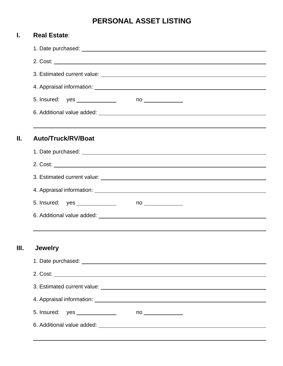# **PERSONAL ASSET LISTING**

| I. | <b>Real Estate:</b>                                                                                                                                                                                                                  |
|----|--------------------------------------------------------------------------------------------------------------------------------------------------------------------------------------------------------------------------------------|
|    |                                                                                                                                                                                                                                      |
|    |                                                                                                                                                                                                                                      |
|    |                                                                                                                                                                                                                                      |
|    |                                                                                                                                                                                                                                      |
|    |                                                                                                                                                                                                                                      |
|    |                                                                                                                                                                                                                                      |
| Ш. | Auto/Truck/RV/Boat                                                                                                                                                                                                                   |
|    |                                                                                                                                                                                                                                      |
|    |                                                                                                                                                                                                                                      |
|    |                                                                                                                                                                                                                                      |
|    |                                                                                                                                                                                                                                      |
|    | 4. Appraisal information: <u>contract and a series of the series of the series of the series of the series of the series of the series of the series of the series of the series of the series of the series of the series of th</u> |
|    | 5. Insured: yes ______________<br>$no \qquad \qquad \qquad$                                                                                                                                                                          |
|    |                                                                                                                                                                                                                                      |
|    |                                                                                                                                                                                                                                      |
| Ш. | <b>Jewelry</b>                                                                                                                                                                                                                       |
|    |                                                                                                                                                                                                                                      |
|    |                                                                                                                                                                                                                                      |
|    |                                                                                                                                                                                                                                      |
|    | 4. Appraisal information: <u>contract and a series of the series of the series of the series of the series of the series of the series of the series of the series of the series of the series of the series of the series of th</u> |
|    | 5. Insured: yes ______________                                                                                                                                                                                                       |
|    |                                                                                                                                                                                                                                      |
|    |                                                                                                                                                                                                                                      |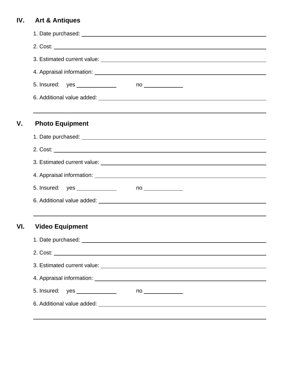# **IV. Art & Antiques**

| V.  | <b>Photo Equipment</b>                                         |
|-----|----------------------------------------------------------------|
|     |                                                                |
|     |                                                                |
|     |                                                                |
|     |                                                                |
|     | 5. Insured: yes _______________<br>$no \qquad \qquad \qquad$   |
|     |                                                                |
| VI. | <b>Video Equipment</b>                                         |
|     |                                                                |
|     |                                                                |
|     |                                                                |
|     |                                                                |
|     | 5. Insured:    yes ______________<br>$no \qquad \qquad \qquad$ |
|     |                                                                |
|     |                                                                |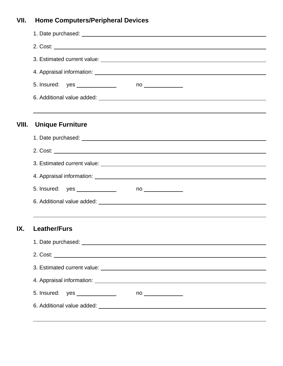# **VII. Home Computers/Peripheral Devices**

| VIII. | <b>Unique Furniture</b>                              |  |
|-------|------------------------------------------------------|--|
|       |                                                      |  |
|       |                                                      |  |
|       |                                                      |  |
|       |                                                      |  |
|       | $no \qquad \qquad \qquad$                            |  |
|       |                                                      |  |
|       |                                                      |  |
| IX.   | <b>Leather/Furs</b>                                  |  |
|       |                                                      |  |
|       |                                                      |  |
|       |                                                      |  |
|       |                                                      |  |
|       | 5. Insured: yes ______________<br>no _______________ |  |
|       |                                                      |  |
|       |                                                      |  |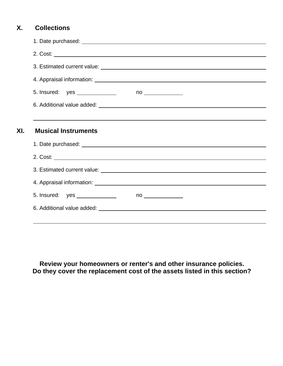#### **X. Collections**

| 4. Appraisal information: <u>contract the contract of the contract of the contract of the contract of the contract of</u> |  |                           |  |  |
|---------------------------------------------------------------------------------------------------------------------------|--|---------------------------|--|--|
|                                                                                                                           |  |                           |  |  |
|                                                                                                                           |  |                           |  |  |
| ,我们也不会有什么。""我们的人,我们也不会有什么?""我们的人,我们也不会有什么?""我们的人,我们也不会有什么?""我们的人,我们也不会有什么?""我们的人<br><b>Musical Instruments</b>            |  |                           |  |  |
|                                                                                                                           |  |                           |  |  |
|                                                                                                                           |  |                           |  |  |
|                                                                                                                           |  |                           |  |  |
|                                                                                                                           |  |                           |  |  |
|                                                                                                                           |  | $no \qquad \qquad \qquad$ |  |  |

**Review your homeowners or renter's and other insurance policies. Do they cover the replacement cost of the assets listed in this section?**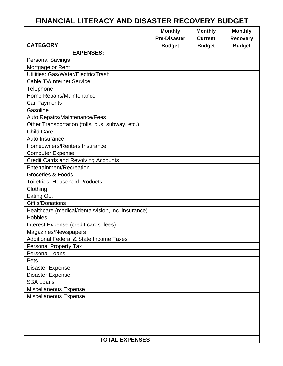#### **Monthly | Monthly | Monthly | Monthly Pre-Disaster Current Recovery CATEGORY** Budget Budget Budget Budget **EXPENSES:**  Personal Savings Mortgage or Rent Utilities: Gas/Water/Electric/Trash Cable TV/Internet Service **Telephone** Home Repairs/Maintenance Car Payments **Gasoline** Auto Repairs/Maintenance/Fees Other Transportation (tolls, bus, subway, etc.) Child Care Auto Insurance Homeowners/Renters Insurance Computer Expense Credit Cards and Revolving Accounts Entertainment/Recreation Groceries & Foods Toiletries, Household Products Clothing Eating Out Gift's/Donations Healthcare (medical/dental/vision, inc. insurance) **Hobbies** Interest Expense (credit cards, fees) Magazines/Newspapers Additional Federal & State Income Taxes Personal Property Tax Personal Loans Pets Disaster Expense Disaster Expense SBA Loans Miscellaneous Expense Miscellaneous Expense **TOTAL EXPENSES**

## **FINANCIAL LITERACY AND DISASTER RECOVERY BUDGET**